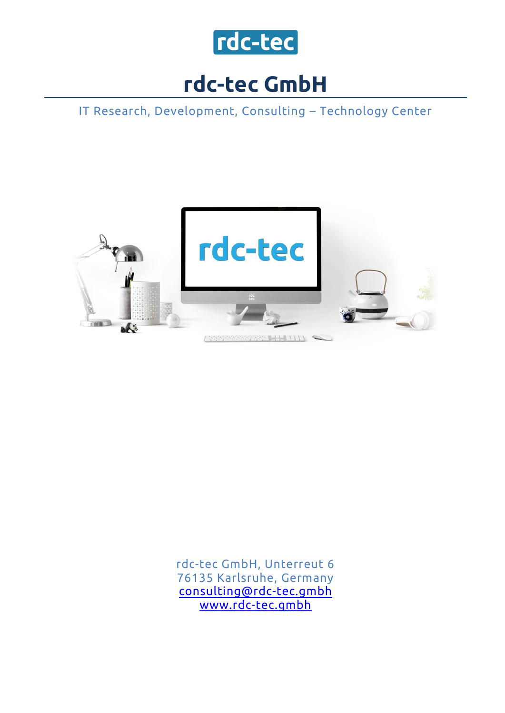

## **rdc-tec GmbH**

IT Research, Development, Consulting – Technology Center



rdc-tec GmbH, Unterreut 6 76135 Karlsruhe, Germany [consulting@rdc-tec.gmbh](mailto:consulting@rdc-tec.gmbh) [www.rdc-tec.gmbh](http://www.rdc-tec.gmbh/)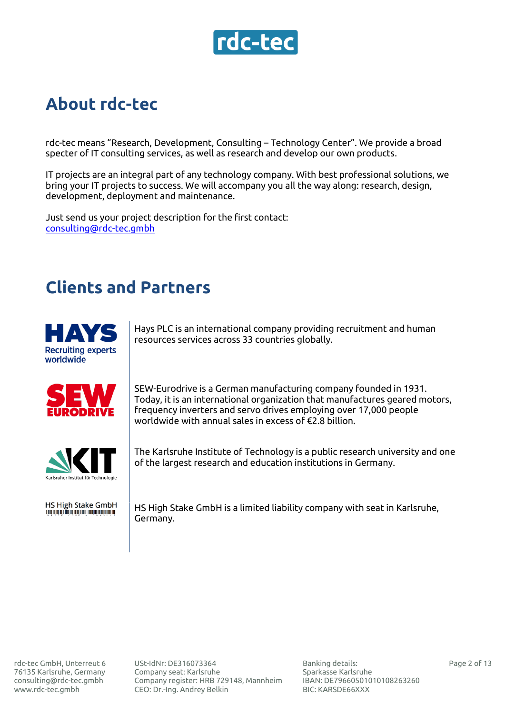

#### **About rdc-tec**

rdc-tec means "Research, Development, Consulting – Technology Center". We provide a broad specter of IT consulting services, as well as research and develop our own products.

IT projects are an integral part of any technology company. With best professional solutions, we bring your IT projects to success. We will accompany you all the way along: research, design, development, deployment and maintenance.

Just send us your project description for the first contact: [consulting@rdc-tec.gmbh](mailto:consulting@rdc-tec.gmbh)

#### **Clients and Partners**



Hays PLC is an international company providing recruitment and human resources services across 33 countries globally.



HS High Stake GmbH<br>Thinh Stake GmbH

SEW-Eurodrive is a German manufacturing company founded in 1931. Today, it is an international organization that manufactures geared motors, frequency inverters and servo drives employing over 17,000 people worldwide with annual sales in excess of €2.8 billion.

The Karlsruhe Institute of Technology is a public research university and one of the largest research and education institutions in Germany.

HS High Stake GmbH is a limited liability company with seat in Karlsruhe, Germany.

USt-IdNr: DE316073364 Сompany seat: Karlsruhe Company register: HRB 729148, Mannheim CEO: Dr.-Ing. Andrey Belkin

Banking details: Sparkasse Karlsruhe IBAN: DE79660501010108263260 BIC: KARSDE66XXX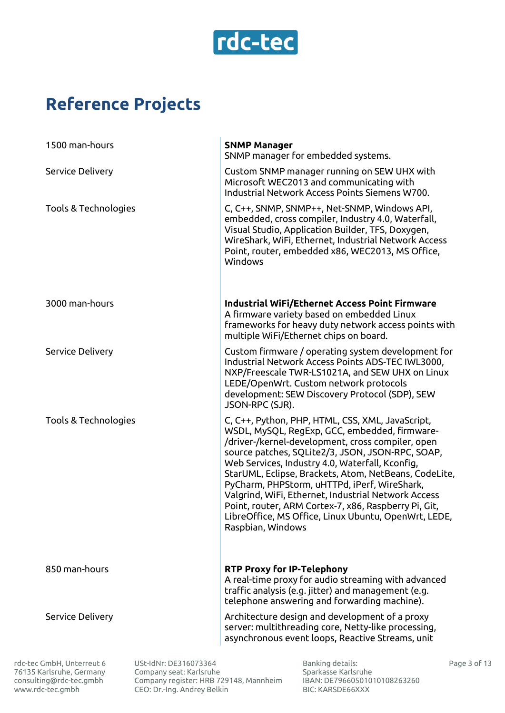

### **Reference Projects**

| 1500 man-hours          | <b>SNMP Manager</b><br>SNMP manager for embedded systems.                                                                                                                                                                                                                                                                                                                                                                                                                                                                                                          |
|-------------------------|--------------------------------------------------------------------------------------------------------------------------------------------------------------------------------------------------------------------------------------------------------------------------------------------------------------------------------------------------------------------------------------------------------------------------------------------------------------------------------------------------------------------------------------------------------------------|
| <b>Service Delivery</b> | Custom SNMP manager running on SEW UHX with<br>Microsoft WEC2013 and communicating with<br>Industrial Network Access Points Siemens W700.                                                                                                                                                                                                                                                                                                                                                                                                                          |
| Tools & Technologies    | C, C++, SNMP, SNMP++, Net-SNMP, Windows API,<br>embedded, cross compiler, Industry 4.0, Waterfall,<br>Visual Studio, Application Builder, TFS, Doxygen,<br>WireShark, WiFi, Ethernet, Industrial Network Access<br>Point, router, embedded x86, WEC2013, MS Office,<br>Windows                                                                                                                                                                                                                                                                                     |
| 3000 man-hours          | <b>Industrial WiFi/Ethernet Access Point Firmware</b><br>A firmware variety based on embedded Linux<br>frameworks for heavy duty network access points with<br>multiple WiFi/Ethernet chips on board.                                                                                                                                                                                                                                                                                                                                                              |
| <b>Service Delivery</b> | Custom firmware / operating system development for<br>Industrial Network Access Points ADS-TEC IWL3000,<br>NXP/Freescale TWR-LS1021A, and SEW UHX on Linux<br>LEDE/OpenWrt. Custom network protocols<br>development: SEW Discovery Protocol (SDP), SEW<br>JSON-RPC (SJR).                                                                                                                                                                                                                                                                                          |
| Tools & Technologies    | C, C++, Python, PHP, HTML, CSS, XML, JavaScript,<br>WSDL, MySQL, RegExp, GCC, embedded, firmware-<br>/driver-/kernel-development, cross compiler, open<br>source patches, SQLite2/3, JSON, JSON-RPC, SOAP,<br>Web Services, Industry 4.0, Waterfall, Kconfig,<br>StarUML, Eclipse, Brackets, Atom, NetBeans, CodeLite,<br>PyCharm, PHPStorm, uHTTPd, iPerf, WireShark,<br>Valgrind, WiFi, Ethernet, Industrial Network Access<br>Point, router, ARM Cortex-7, x86, Raspberry Pi, Git,<br>LibreOffice, MS Office, Linux Ubuntu, OpenWrt, LEDE,<br>Raspbian, Windows |
| 850 man-hours           | <b>RTP Proxy for IP-Telephony</b><br>A real-time proxy for audio streaming with advanced<br>traffic analysis (e.g. jitter) and management (e.g.<br>telephone answering and forwarding machine).                                                                                                                                                                                                                                                                                                                                                                    |
| <b>Service Delivery</b> | Architecture design and development of a proxy<br>server: multithreading core, Netty-like processing,<br>asynchronous event loops, Reactive Streams, unit                                                                                                                                                                                                                                                                                                                                                                                                          |

rdc-tec GmbH, Unterreut 6 76135 Karlsruhe, Germany [consulting@rdc-tec.gmbh](mailto:consulting@rdc-tec.gmbh) [www.rdc-tec.gmbh](http://www.rdc-tec.gmbh/)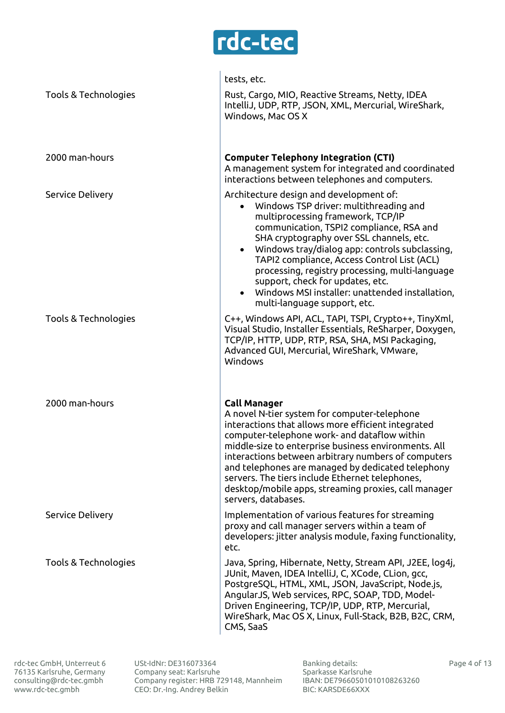

|                         | tests, etc.                                                                                                                                                                                                                                                                                                                                                                                                                                                                                 |
|-------------------------|---------------------------------------------------------------------------------------------------------------------------------------------------------------------------------------------------------------------------------------------------------------------------------------------------------------------------------------------------------------------------------------------------------------------------------------------------------------------------------------------|
| Tools & Technologies    | Rust, Cargo, MIO, Reactive Streams, Netty, IDEA<br>IntelliJ, UDP, RTP, JSON, XML, Mercurial, WireShark,<br>Windows, Mac OS X                                                                                                                                                                                                                                                                                                                                                                |
| 2000 man-hours          | <b>Computer Telephony Integration (CTI)</b><br>A management system for integrated and coordinated<br>interactions between telephones and computers.                                                                                                                                                                                                                                                                                                                                         |
| <b>Service Delivery</b> | Architecture design and development of:<br>Windows TSP driver: multithreading and<br>multiprocessing framework, TCP/IP<br>communication, TSPI2 compliance, RSA and<br>SHA cryptography over SSL channels, etc.<br>• Windows tray/dialog app: controls subclassing,<br>TAPI2 compliance, Access Control List (ACL)<br>processing, registry processing, multi-language<br>support, check for updates, etc.<br>Windows MSI installer: unattended installation,<br>multi-language support, etc. |
| Tools & Technologies    | C++, Windows API, ACL, TAPI, TSPI, Crypto++, TinyXml,<br>Visual Studio, Installer Essentials, ReSharper, Doxygen,<br>TCP/IP, HTTP, UDP, RTP, RSA, SHA, MSI Packaging,<br>Advanced GUI, Mercurial, WireShark, VMware,<br>Windows                                                                                                                                                                                                                                                             |
| 2000 man-hours          | <b>Call Manager</b><br>A novel N-tier system for computer-telephone<br>interactions that allows more efficient integrated<br>computer-telephone work- and dataflow within<br>middle-size to enterprise business environments. All<br>interactions between arbitrary numbers of computers<br>and telephones are managed by dedicated telephony<br>servers. The tiers include Ethernet telephones,<br>desktop/mobile apps, streaming proxies, call manager<br>servers, databases.             |
| <b>Service Delivery</b> | Implementation of various features for streaming<br>proxy and call manager servers within a team of<br>developers: jitter analysis module, faxing functionality,<br>etc.                                                                                                                                                                                                                                                                                                                    |
| Tools & Technologies    | Java, Spring, Hibernate, Netty, Stream API, J2EE, log4j,<br>JUnit, Maven, IDEA IntelliJ, C, XCode, CLion, gcc,<br>PostgreSQL, HTML, XML, JSON, JavaScript, Node.js,<br>AngularJS, Web services, RPC, SOAP, TDD, Model-<br>Driven Engineering, TCP/IP, UDP, RTP, Mercurial,<br>WireShark, Mac OS X, Linux, Full-Stack, B2B, B2C, CRM,<br>CMS, SaaS                                                                                                                                           |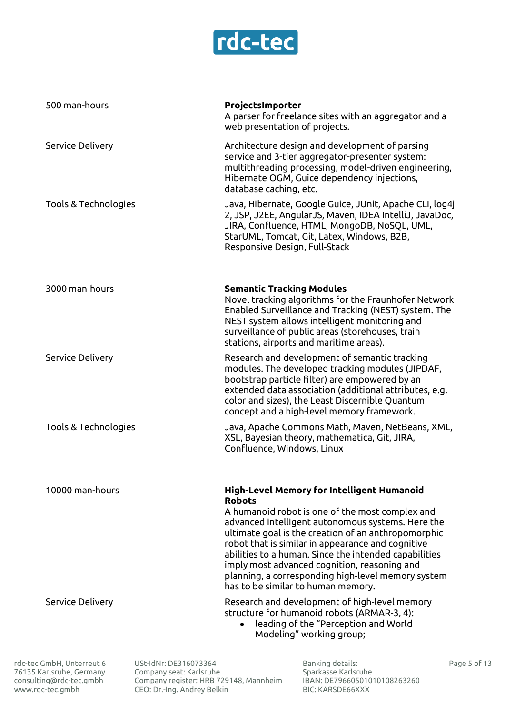

| 500 man-hours        | ProjectsImporter<br>A parser for freelance sites with an aggregator and a<br>web presentation of projects.                                                                                                                                                                                                                                                                                                                                                                                  |
|----------------------|---------------------------------------------------------------------------------------------------------------------------------------------------------------------------------------------------------------------------------------------------------------------------------------------------------------------------------------------------------------------------------------------------------------------------------------------------------------------------------------------|
| Service Delivery     | Architecture design and development of parsing<br>service and 3-tier aggregator-presenter system:<br>multithreading processing, model-driven engineering,<br>Hibernate OGM, Guice dependency injections,<br>database caching, etc.                                                                                                                                                                                                                                                          |
| Tools & Technologies | Java, Hibernate, Google Guice, JUnit, Apache CLI, log4j<br>2, JSP, J2EE, AngularJS, Maven, IDEA IntelliJ, JavaDoc,<br>JIRA, Confluence, HTML, MongoDB, NoSQL, UML,<br>StarUML, Tomcat, Git, Latex, Windows, B2B,<br>Responsive Design, Full-Stack                                                                                                                                                                                                                                           |
| 3000 man-hours       | <b>Semantic Tracking Modules</b><br>Novel tracking algorithms for the Fraunhofer Network<br>Enabled Surveillance and Tracking (NEST) system. The<br>NEST system allows intelligent monitoring and<br>surveillance of public areas (storehouses, train<br>stations, airports and maritime areas).                                                                                                                                                                                            |
| Service Delivery     | Research and development of semantic tracking<br>modules. The developed tracking modules (JIPDAF,<br>bootstrap particle filter) are empowered by an<br>extended data association (additional attributes, e.g.<br>color and sizes), the Least Discernible Quantum<br>concept and a high-level memory framework.                                                                                                                                                                              |
| Tools & Technologies | Java, Apache Commons Math, Maven, NetBeans, XML,<br>XSL, Bayesian theory, mathematica, Git, JIRA,<br>Confluence, Windows, Linux                                                                                                                                                                                                                                                                                                                                                             |
| 10000 man-hours      | <b>High-Level Memory for Intelligent Humanoid</b><br><b>Robots</b><br>A humanoid robot is one of the most complex and<br>advanced intelligent autonomous systems. Here the<br>ultimate goal is the creation of an anthropomorphic<br>robot that is similar in appearance and cognitive<br>abilities to a human. Since the intended capabilities<br>imply most advanced cognition, reasoning and<br>planning, a corresponding high-level memory system<br>has to be similar to human memory. |
| Service Delivery     | Research and development of high-level memory<br>structure for humanoid robots (ARMAR-3, 4):<br>leading of the "Perception and World<br>Modeling" working group;                                                                                                                                                                                                                                                                                                                            |

rdc-tec GmbH, Unterreut 6 76135 Karlsruhe, Germany [consulting@rdc-tec.gmbh](mailto:consulting@rdc-tec.gmbh) [www.rdc-tec.gmbh](http://www.rdc-tec.gmbh/)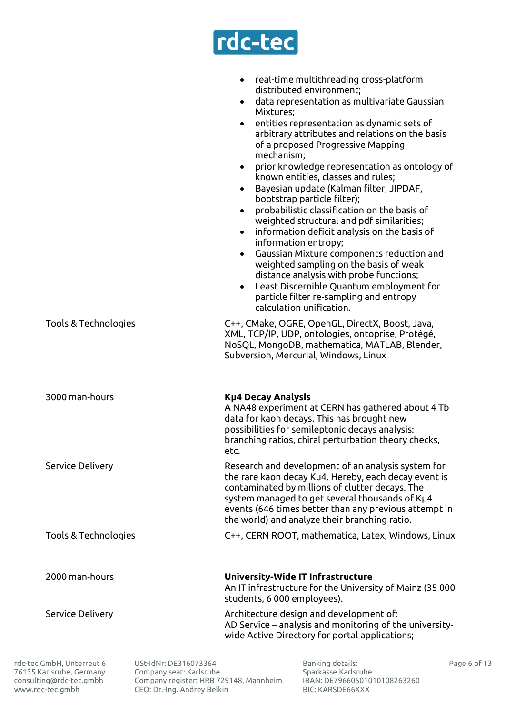

|                         | real-time multithreading cross-platform<br>$\bullet$<br>distributed environment;<br>data representation as multivariate Gaussian<br>$\bullet$<br>Mixtures;<br>entities representation as dynamic sets of<br>$\bullet$<br>arbitrary attributes and relations on the basis<br>of a proposed Progressive Mapping<br>mechanism;<br>prior knowledge representation as ontology of<br>$\bullet$<br>known entities, classes and rules;<br>Bayesian update (Kalman filter, JIPDAF,<br>$\bullet$<br>bootstrap particle filter);<br>probabilistic classification on the basis of<br>$\bullet$<br>weighted structural and pdf similarities;<br>information deficit analysis on the basis of<br>$\bullet$<br>information entropy;<br>Gaussian Mixture components reduction and<br>$\bullet$<br>weighted sampling on the basis of weak<br>distance analysis with probe functions;<br>Least Discernible Quantum employment for<br>$\bullet$<br>particle filter re-sampling and entropy<br>calculation unification. |
|-------------------------|------------------------------------------------------------------------------------------------------------------------------------------------------------------------------------------------------------------------------------------------------------------------------------------------------------------------------------------------------------------------------------------------------------------------------------------------------------------------------------------------------------------------------------------------------------------------------------------------------------------------------------------------------------------------------------------------------------------------------------------------------------------------------------------------------------------------------------------------------------------------------------------------------------------------------------------------------------------------------------------------------|
| Tools & Technologies    | C++, CMake, OGRE, OpenGL, DirectX, Boost, Java,<br>XML, TCP/IP, UDP, ontologies, ontoprise, Protégé,<br>NoSQL, MongoDB, mathematica, MATLAB, Blender,<br>Subversion, Mercurial, Windows, Linux                                                                                                                                                                                                                                                                                                                                                                                                                                                                                                                                                                                                                                                                                                                                                                                                       |
| 3000 man-hours          | <b>Kµ4 Decay Analysis</b><br>A NA48 experiment at CERN has gathered about 4 Tb<br>data for kaon decays. This has brought new<br>possibilities for semileptonic decays analysis:<br>branching ratios, chiral perturbation theory checks,<br>etc.                                                                                                                                                                                                                                                                                                                                                                                                                                                                                                                                                                                                                                                                                                                                                      |
| <b>Service Delivery</b> | Research and development of an analysis system for<br>the rare kaon decay Kµ4. Hereby, each decay event is<br>contaminated by millions of clutter decays. The<br>system managed to get several thousands of Kµ4<br>events (646 times better than any previous attempt in<br>the world) and analyze their branching ratio.                                                                                                                                                                                                                                                                                                                                                                                                                                                                                                                                                                                                                                                                            |
| Tools & Technologies    | C++, CERN ROOT, mathematica, Latex, Windows, Linux                                                                                                                                                                                                                                                                                                                                                                                                                                                                                                                                                                                                                                                                                                                                                                                                                                                                                                                                                   |
| 2000 man-hours          | University-Wide IT Infrastructure<br>An IT infrastructure for the University of Mainz (35 000<br>students, 6 000 employees).                                                                                                                                                                                                                                                                                                                                                                                                                                                                                                                                                                                                                                                                                                                                                                                                                                                                         |
| <b>Service Delivery</b> | Architecture design and development of:<br>AD Service - analysis and monitoring of the university-<br>wide Active Directory for portal applications;                                                                                                                                                                                                                                                                                                                                                                                                                                                                                                                                                                                                                                                                                                                                                                                                                                                 |

rdc-tec GmbH, Unterreut 6 76135 Karlsruhe, Germany [consulting@rdc-tec.gmbh](mailto:consulting@rdc-tec.gmbh) [www.rdc-tec.gmbh](http://www.rdc-tec.gmbh/)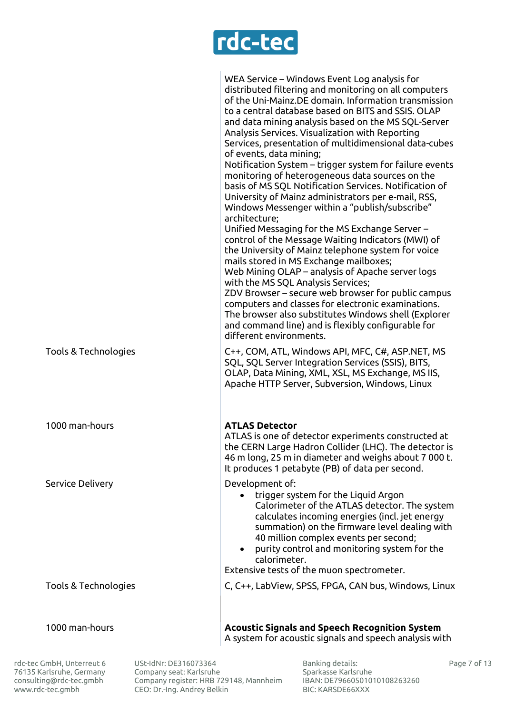

|                      | WEA Service - Windows Event Log analysis for<br>distributed filtering and monitoring on all computers<br>of the Uni-Mainz.DE domain. Information transmission<br>to a central database based on BITS and SSIS. OLAP<br>and data mining analysis based on the MS SQL-Server<br>Analysis Services. Visualization with Reporting<br>Services, presentation of multidimensional data-cubes<br>of events, data mining;<br>Notification System - trigger system for failure events<br>monitoring of heterogeneous data sources on the<br>basis of MS SQL Notification Services. Notification of<br>University of Mainz administrators per e-mail, RSS,<br>Windows Messenger within a "publish/subscribe"<br>architecture;<br>Unified Messaging for the MS Exchange Server –<br>control of the Message Waiting Indicators (MWI) of<br>the University of Mainz telephone system for voice<br>mails stored in MS Exchange mailboxes;<br>Web Mining OLAP – analysis of Apache server logs<br>with the MS SQL Analysis Services;<br>ZDV Browser – secure web browser for public campus<br>computers and classes for electronic examinations.<br>The browser also substitutes Windows shell (Explorer<br>and command line) and is flexibly configurable for<br>different environments. |
|----------------------|----------------------------------------------------------------------------------------------------------------------------------------------------------------------------------------------------------------------------------------------------------------------------------------------------------------------------------------------------------------------------------------------------------------------------------------------------------------------------------------------------------------------------------------------------------------------------------------------------------------------------------------------------------------------------------------------------------------------------------------------------------------------------------------------------------------------------------------------------------------------------------------------------------------------------------------------------------------------------------------------------------------------------------------------------------------------------------------------------------------------------------------------------------------------------------------------------------------------------------------------------------------------------|
| Tools & Technologies | C++, COM, ATL, Windows API, MFC, C#, ASP.NET, MS<br>SQL, SQL Server Integration Services (SSIS), BITS,<br>OLAP, Data Mining, XML, XSL, MS Exchange, MS IIS,<br>Apache HTTP Server, Subversion, Windows, Linux                                                                                                                                                                                                                                                                                                                                                                                                                                                                                                                                                                                                                                                                                                                                                                                                                                                                                                                                                                                                                                                              |
| 1000 man-hours       | <b>ATLAS Detector</b><br>ATLAS is one of detector experiments constructed at<br>the CERN Large Hadron Collider (LHC). The detector is<br>46 m long, 25 m in diameter and weighs about 7 000 t.<br>It produces 1 petabyte (PB) of data per second.                                                                                                                                                                                                                                                                                                                                                                                                                                                                                                                                                                                                                                                                                                                                                                                                                                                                                                                                                                                                                          |
| Service Delivery     | Development of:<br>trigger system for the Liquid Argon<br>Calorimeter of the ATLAS detector. The system<br>calculates incoming energies (incl. jet energy<br>summation) on the firmware level dealing with<br>40 million complex events per second;<br>• purity control and monitoring system for the<br>calorimeter.<br>Extensive tests of the muon spectrometer.                                                                                                                                                                                                                                                                                                                                                                                                                                                                                                                                                                                                                                                                                                                                                                                                                                                                                                         |
| Tools & Technologies | C, C++, LabView, SPSS, FPGA, CAN bus, Windows, Linux                                                                                                                                                                                                                                                                                                                                                                                                                                                                                                                                                                                                                                                                                                                                                                                                                                                                                                                                                                                                                                                                                                                                                                                                                       |
| 1000 man-hours       | <b>Acoustic Signals and Speech Recognition System</b><br>A system for acoustic signals and speech analysis with                                                                                                                                                                                                                                                                                                                                                                                                                                                                                                                                                                                                                                                                                                                                                                                                                                                                                                                                                                                                                                                                                                                                                            |

rdc-tec GmbH, Unterreut 6 76135 Karlsruhe, Germany [consulting@rdc-tec.gmbh](mailto:consulting@rdc-tec.gmbh) [www.rdc-tec.gmbh](http://www.rdc-tec.gmbh/)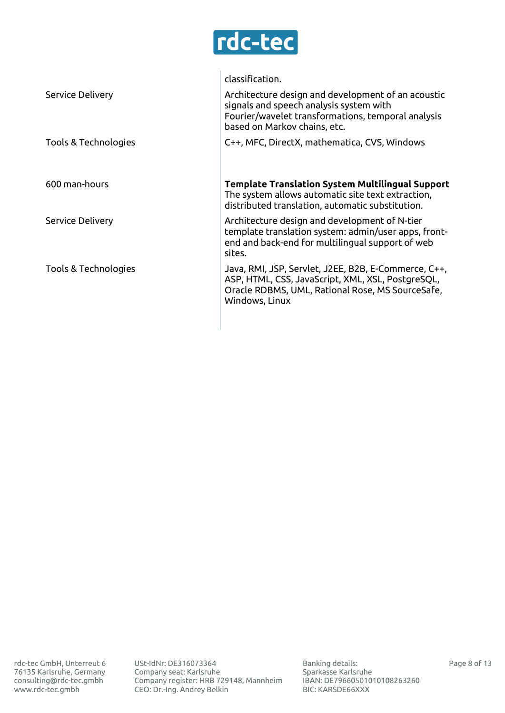

|                         | classification.                                                                                                                                                                     |
|-------------------------|-------------------------------------------------------------------------------------------------------------------------------------------------------------------------------------|
| <b>Service Delivery</b> | Architecture design and development of an acoustic<br>signals and speech analysis system with<br>Fourier/wavelet transformations, temporal analysis<br>based on Markov chains, etc. |
| Tools & Technologies    | C++, MFC, DirectX, mathematica, CVS, Windows                                                                                                                                        |
|                         |                                                                                                                                                                                     |
| 600 man-hours           | <b>Template Translation System Multilingual Support</b><br>The system allows automatic site text extraction,<br>distributed translation, automatic substitution.                    |
| <b>Service Delivery</b> | Architecture design and development of N-tier<br>template translation system: admin/user apps, front-<br>end and back-end for multilingual support of web<br>sites.                 |
| Tools & Technologies    | Java, RMI, JSP, Servlet, J2EE, B2B, E-Commerce, C++,<br>ASP, HTML, CSS, JavaScript, XML, XSL, PostgreSQL,<br>Oracle RDBMS, UML, Rational Rose, MS SourceSafe,<br>Windows, Linux     |
|                         |                                                                                                                                                                                     |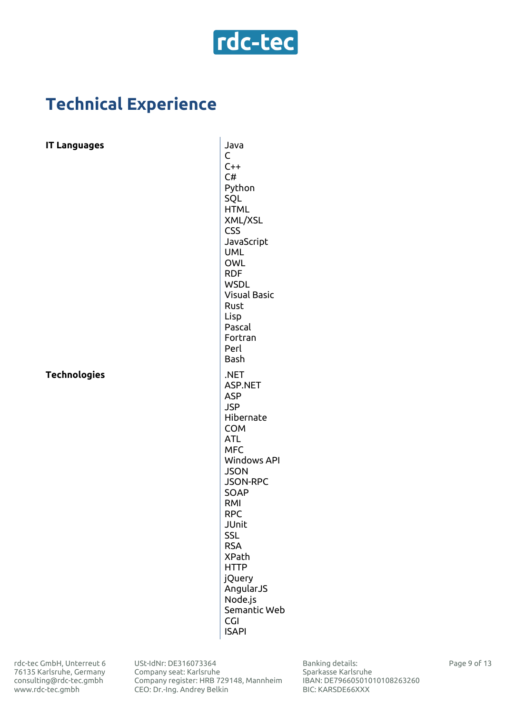

## **Technical Experience**

#### **IT Languages** Java

**Technologies** .NET

C  $C++$ C# Python SQL **HTML** XML/XSL CSS JavaScript UML OWL RDF **WSDL** Visual Basic Rust Lisp Pascal Fortran Perl Bash ASP.NET ASP JSP Hibernate **COM** ATL MFC Windows API **JSON** JSON-RPC SOAP RMI RPC JUnit **SSL** RSA XPath HTTP jQuery AngularJS Node.js Semantic Web CGI ISAPI

USt-IdNr: DE316073364 Сompany seat: Karlsruhe Company register: HRB 729148, Mannheim CEO: Dr.-Ing. Andrey Belkin

Banking details: Sparkasse Karlsruhe IBAN: DE79660501010108263260 BIC: KARSDE66XXX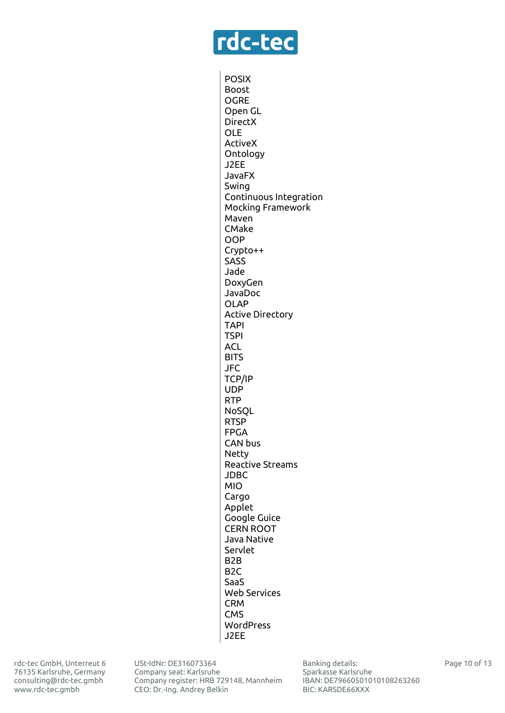

POSIX Boost OGRE Open GL DirectX OLE ActiveX Ontology J2EE JavaFX Swing Continuous Integration Mocking Framework Maven CMake OOP Crypto++ **SASS** Jade DoxyGen JavaDoc OLAP Active Directory TAPI **TSPI** ACL **BITS** JFC TCP/IP UDP RTP NoSQL **RTSP** FPGA CAN bus Netty Reactive Streams JDBC MIO Cargo Applet Google Guice CERN ROOT Java Native Servlet B2B  $B2C$ SaaS Web Services CRM CMS WordPress J2EE

rdc-tec GmbH, Unterreut 6 76135 Karlsruhe, Germany [consulting@rdc-tec.gmbh](mailto:consulting@rdc-tec.gmbh) [www.rdc-tec.gmbh](http://www.rdc-tec.gmbh/)

USt-IdNr: DE316073364 Сompany seat: Karlsruhe Company register: HRB 729148, Mannheim CEO: Dr.-Ing. Andrey Belkin

Banking details: Sparkasse Karlsruhe IBAN: DE79660501010108263260 BIC: KARSDE66XXX

Page 10 of 13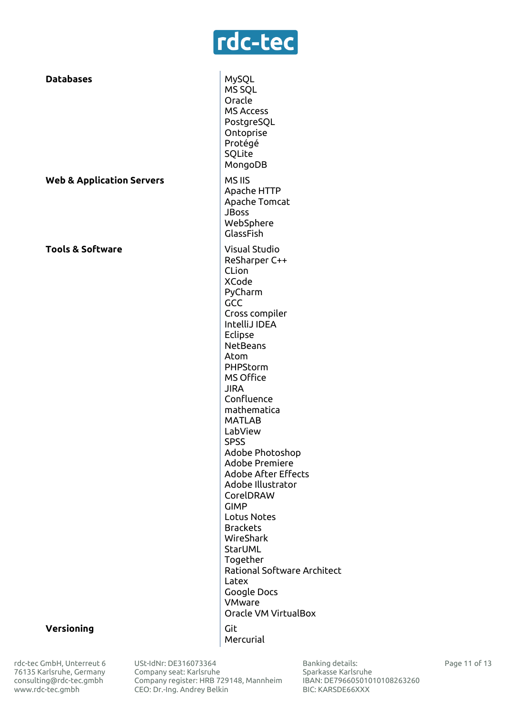# rdc-tec

**Databases** MySQL MS SQL Oracle MS Access PostgreSQL Ontoprise Protégé SQLite MongoDB **Web & Application Servers** MS IIS Apache HTTP Apache Tomcat JBoss WebSphere GlassFish **Tools & Software Visual Studio** ReSharper C++ CLion XCode PyCharm **GCC** Cross compiler IntelliJ IDEA **Eclipse NetBeans** Atom PHPStorm MS Office JIRA Confluence mathematica MATLAB LabView SPSS Adobe Photoshop Adobe Premiere Adobe After Effects Adobe Illustrator CorelDRAW GIMP Lotus Notes Brackets WireShark StarUML Together Rational Software Architect Latex Google Docs VMware Oracle VM VirtualBox

Mercurial

**Versioning** Git

rdc-tec GmbH, Unterreut 6 76135 Karlsruhe, Germany [consulting@rdc-tec.gmbh](mailto:consulting@rdc-tec.gmbh) [www.rdc-tec.gmbh](http://www.rdc-tec.gmbh/)

USt-IdNr: DE316073364 Сompany seat: Karlsruhe Company register: HRB 729148, Mannheim CEO: Dr.-Ing. Andrey Belkin

Banking details: Sparkasse Karlsruhe IBAN: DE79660501010108263260 BIC: KARSDE66XXX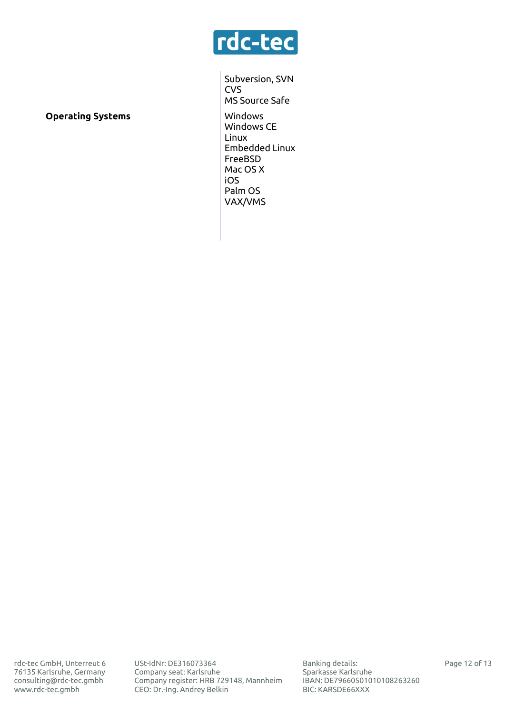

**Operating Systems** Windows

Subversion, SVN **CVS** MS Source Safe Windows CE Linux Embedded Linux FreeBSD Mac OS X iOS Palm OS VAX/VMS